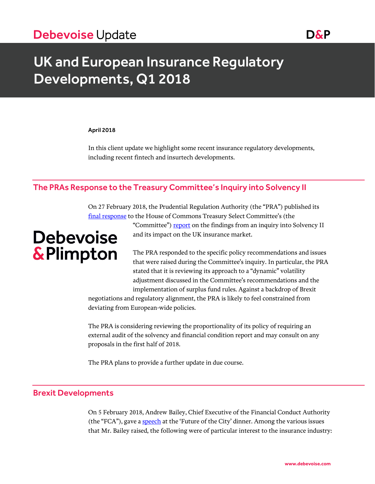# UK and European Insurance Regulatory Developments, Q1 2018

#### April 2018

In this client update we highlight some recent insurance regulatory developments, including recent fintech and insurtech developments.

## The PRAs Response to the Treasury Committee's Inquiry into Solvency II

On 27 February 2018, the Prudential Regulation Authority (the "PRA") published its [final response](https://www.bankofengland.co.uk/-/media/boe/files/prudential-regulation/report/response-to-treasury-committee-inquiry-into-solvency-2.pdf?la=en&hash=390A476FB288EB42E17966B680FF8F3D900033E0) to the House of Commons Treasury Select Committee's (the

# **Debevoise** & Plimpton

"Committee") [report](https://publications.parliament.uk/pa/cm201719/cmselect/cmtreasy/324/324.pdf) on the findings from an inquiry into Solvency II and its impact on the UK insurance market.

The PRA responded to the specific policy recommendations and issues that were raised during the Committee's inquiry. In particular, the PRA stated that it is reviewing its approach to a "dynamic" volatility adjustment discussed in the Committee's recommendations and the implementation of surplus fund rules. Against a backdrop of Brexit

negotiations and regulatory alignment, the PRA is likely to feel constrained from deviating from European-wide policies.

The PRA is considering reviewing the proportionality of its policy of requiring an external audit of the solvency and financial condition report and may consult on any proposals in the first half of 2018.

The PRA plans to provide a further update in due course.

#### Brexit Developments

On 5 February 2018, Andrew Bailey, Chief Executive of the Financial Conduct Authority (the "FCA"), gave a [speech](https://www.fca.org.uk/news/speeches/future-city) at the 'Future of the City' dinner. Among the various issues that Mr. Bailey raised, the following were of particular interest to the insurance industry: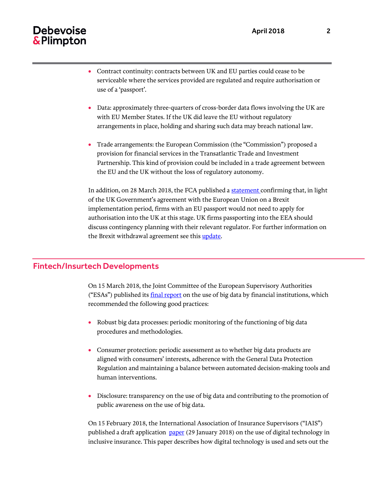# Debevoise & Plimpton

- serviceable where the services provided are regulated and require authorisation or use of a 'passport'.
- Data: approximately three-quarters of cross-border data flows involving the UK are with EU Member States. If the UK did leave the EU without regulatory arrangements in place, holding and sharing such data may breach national law.
- Trade arrangements: the European Commission (the "Commission") proposed a provision for financial services in the Transatlantic Trade and Investment Partnership. This kind of provision could be included in a trade agreement between the EU and the UK without the loss of regulatory autonomy.

In addition, on 28 March 2018, the FCA published [a statement](https://www.fca.org.uk/news/statements/fca-statement-eu-withdrawal-following-march-european-council) confirming that, in light of the UK Government's agreement with the European Union on a Brexit implementation period, firms with an EU passport would not need to apply for authorisation into the UK at this stage. UK firms passporting into the EEA should discuss contingency planning with their relevant regulator. For further information on the Brexit withdrawal agreement see this [update.](https://www.debevoise.com/insights/publications/2018/03/uk-and-eu-agree-in-principle)

### Fintech/Insurtech Developments

On 15 March 2018, the Joint Committee of the European Supervisory Authorities ("ESAs") published its *[final report](http://www.eba.europa.eu/documents/10180/2157971/Joint+Committee+Final+Report+on+Big+Data+%28JC-2018-04+%29.pdf)* on the use of big data by financial institutions, which recommended the following good practices:

- Robust big data processes: periodic monitoring of the functioning of big data procedures and methodologies.
- Consumer protection: periodic assessment as to whether big data products are aligned with consumers' interests, adherence with the General Data Protection Regulation and maintaining a balance between automated decision-making tools and human interventions.
- Disclosure: transparency on the use of big data and contributing to the promotion of public awareness on the use of big data.

On 15 February 2018, the International Association of Insurance Supervisors ("IAIS") published a draft application [paper](https://www.iaisweb.org/page/consultations/current-consultations/draft-application-paper-on-the-use-of-digital-technology-in-inclusive-insurance/file/71949/draft-application-paper-on-the-use-of-digital-technology-in-inclusive-insurance-for-public-consultation) (29 January 2018) on the use of digital technology in inclusive insurance. This paper describes how digital technology is used and sets out the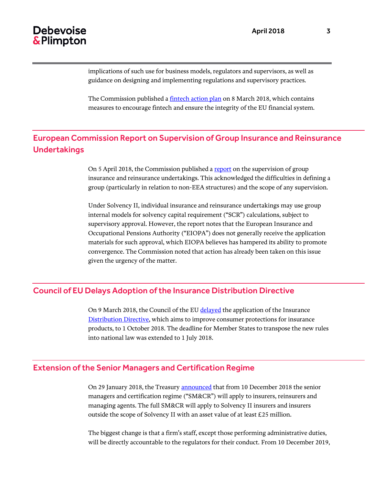# Debevoise & Plimpton

implications of such use for business models, regulators and supervisors, as well as guidance on designing and implementing regulations and supervisory practices.

The Commission published a [fintech action plan](https://ec.europa.eu/info/sites/info/files/180308-action-plan-fintech_en.pdf) on 8 March 2018, which contains measures to encourage fintech and ensure the integrity of the EU financial system.

## European Commission Report on Supervision of Group Insurance and Reinsurance Undertakings

On 5 April 2018, the Commission published a [report](http://ec.europa.eu/transparency/regdoc/rep/1/2018/EN/COM-2018-169-F1-EN-MAIN-PART-1.PDF) on the supervision of group insurance and reinsurance undertakings. This acknowledged the difficulties in defining a group (particularly in relation to non-EEA structures) and the scope of any supervision.

Under Solvency II, individual insurance and reinsurance undertakings may use group internal models for solvency capital requirement ("SCR") calculations, subject to supervisory approval. However, the report notes that the European Insurance and Occupational Pensions Authority ("EIOPA") does not generally receive the application materials for such approval, which EIOPA believes has hampered its ability to promote convergence. The Commission noted that action has already been taken on this issue given the urgency of the matter.

### Council of EU Delays Adoption of the Insurance Distribution Directive

On 9 March 2018, the Council of the EU [delayed](http://www.consilium.europa.eu/en/press/press-releases/2018/03/09/insurance-distribution-council-delays-application-of-new-rules/pdf) the application of the Insurance [Distribution Directive,](http://eur-lex.europa.eu/legal-content/EN/TXT/PDF/?uri=CELEX:32016L0097&from=en) which aims to improve consumer protections for insurance products, to 1 October 2018. The deadline for Member States to transpose the new rules into national law was extended to 1 July 2018.

### Extension of the Senior Managers and Certification Regime

On 29 January 2018, the Treasury [announced](https://www.fca.org.uk/publication/consultation/cp17-26.pdf) that from 10 December 2018 the senior managers and certification regime ("SM&CR") will apply to insurers, reinsurers and managing agents. The full SM&CR will apply to Solvency II insurers and insurers outside the scope of Solvency II with an asset value of at least £25 million.

The biggest change is that a firm's staff, except those performing administrative duties, will be directly accountable to the regulators for their conduct. From 10 December 2019,